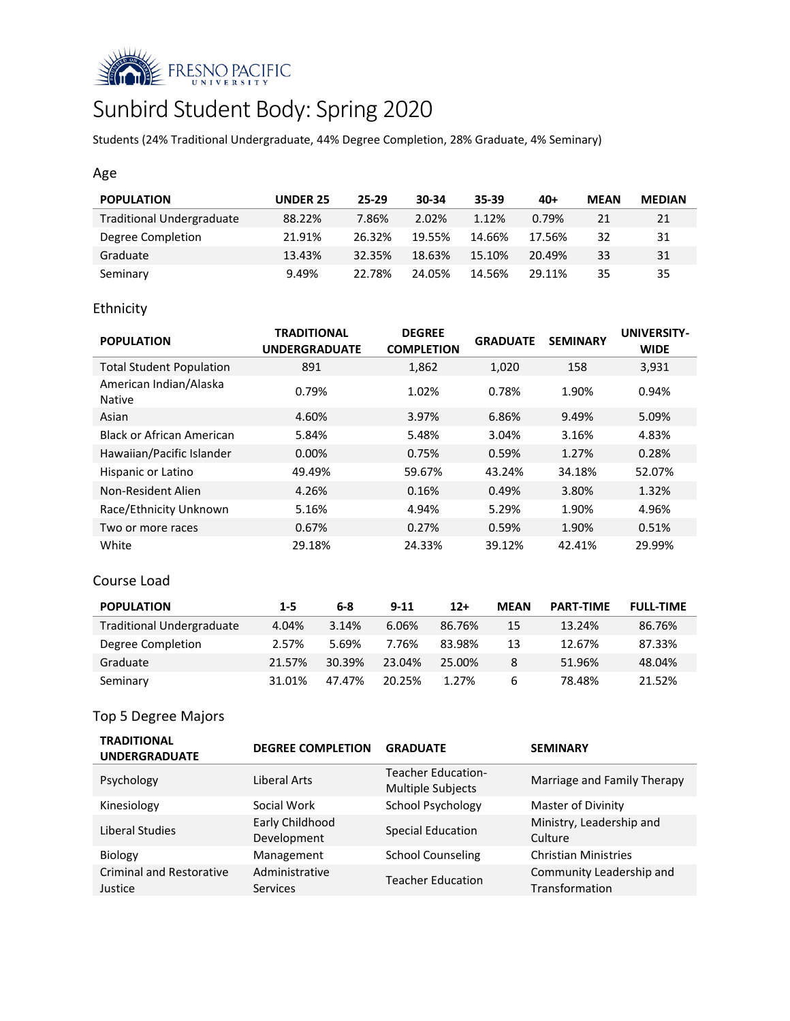

# Sunbird Student Body: Spring 2020

Students (24% Traditional Undergraduate, 44% Degree Completion, 28% Graduate, 4% Seminary)

## Age

| <b>POPULATION</b>                | <b>UNDER 25</b> | $25 - 29$ | 30-34  | $35 - 39$ | $40+$  | <b>MEAN</b> | <b>MEDIAN</b> |
|----------------------------------|-----------------|-----------|--------|-----------|--------|-------------|---------------|
| <b>Traditional Undergraduate</b> | 88.22%          | 7.86%     | 2.02%  | 1.12%     | 0.79%  | 21          | 21            |
| Degree Completion                | 21.91%          | 26.32%    | 19.55% | 14.66%    | 17.56% | 32          | 31            |
| Graduate                         | 13.43%          | 32.35%    | 18.63% | 15.10%    | 20.49% | 33          | 31            |
| Seminary                         | 9.49%           | 22.78%    | 24.05% | 14.56%    | 29 11% | 35          | 35            |

# Ethnicity

| <b>POPULATION</b>                       | <b>TRADITIONAL</b><br><b>UNDERGRADUATE</b> | <b>DEGREE</b><br><b>COMPLETION</b> | <b>GRADUATE</b> | <b>SEMINARY</b> | UNIVERSITY-<br><b>WIDE</b> |
|-----------------------------------------|--------------------------------------------|------------------------------------|-----------------|-----------------|----------------------------|
| <b>Total Student Population</b>         | 891                                        | 1,862                              | 1,020           | 158             | 3,931                      |
| American Indian/Alaska<br><b>Native</b> | 0.79%                                      | 1.02%                              | 0.78%           | 1.90%           | 0.94%                      |
| Asian                                   | 4.60%                                      | 3.97%                              | 6.86%           | 9.49%           | 5.09%                      |
| <b>Black or African American</b>        | 5.84%                                      | 5.48%                              | 3.04%           | 3.16%           | 4.83%                      |
| Hawaiian/Pacific Islander               | $0.00\%$                                   | 0.75%                              | 0.59%           | 1.27%           | 0.28%                      |
| Hispanic or Latino                      | 49.49%                                     | 59.67%                             | 43.24%          | 34.18%          | 52.07%                     |
| Non-Resident Alien                      | 4.26%                                      | 0.16%                              | 0.49%           | 3.80%           | 1.32%                      |
| Race/Ethnicity Unknown                  | 5.16%                                      | 4.94%                              | 5.29%           | 1.90%           | 4.96%                      |
| Two or more races                       | 0.67%                                      | 0.27%                              | 0.59%           | 1.90%           | 0.51%                      |
| White                                   | 29.18%                                     | 24.33%                             | 39.12%          | 42.41%          | 29.99%                     |

## Course Load

| <b>POPULATION</b>                | $1 - 5$ | 6-8    | $9 - 11$ | $12+$  | <b>MEAN</b> | <b>PART-TIME</b> | <b>FULL-TIME</b> |
|----------------------------------|---------|--------|----------|--------|-------------|------------------|------------------|
| <b>Traditional Undergraduate</b> | 4.04%   | 3.14%  | 6.06%    | 86.76% | 15          | 13.24%           | 86.76%           |
| Degree Completion                | 2.57%   | 5.69%  | 7.76%    | 83.98% | 13          | 12.67%           | 87.33%           |
| Graduate                         | 21.57%  | 30.39% | 23.04%   | 25.00% | 8           | 51.96%           | 48.04%           |
| Seminary                         | 31.01%  | 47.47% | 20.25%   | 1.27%  | 6           | 78.48%           | 21.52%           |

# Top 5 Degree Majors

| <b>TRADITIONAL</b><br><b>UNDERGRADUATE</b> | <b>DEGREE COMPLETION</b>          | <b>GRADUATE</b>                                       | <b>SEMINARY</b>                            |
|--------------------------------------------|-----------------------------------|-------------------------------------------------------|--------------------------------------------|
| Psychology                                 | Liberal Arts                      | <b>Teacher Education-</b><br><b>Multiple Subjects</b> | Marriage and Family Therapy                |
| Kinesiology                                | Social Work                       | School Psychology                                     | Master of Divinity                         |
| Liberal Studies                            | Early Childhood<br>Development    | <b>Special Education</b>                              | Ministry, Leadership and<br>Culture        |
| <b>Biology</b>                             | Management                        | <b>School Counseling</b>                              | <b>Christian Ministries</b>                |
| <b>Criminal and Restorative</b><br>Justice | Administrative<br><b>Services</b> | <b>Teacher Education</b>                              | Community Leadership and<br>Transformation |
|                                            |                                   |                                                       |                                            |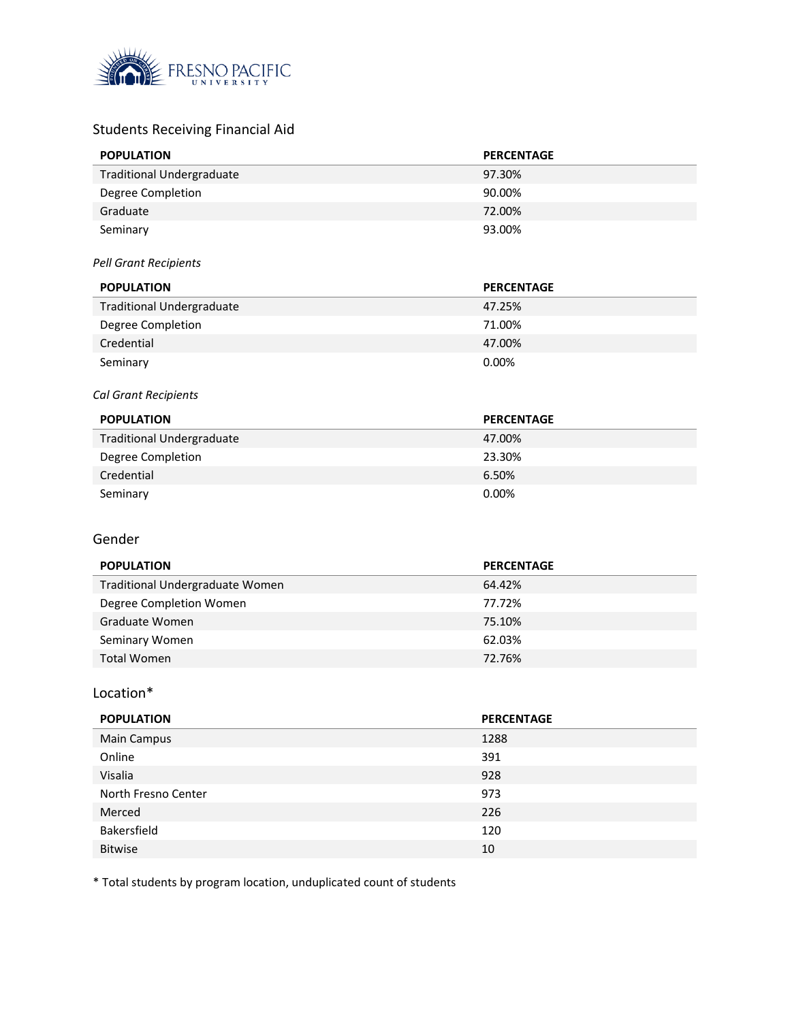

# Students Receiving Financial Aid

| <b>POPULATION</b>                | <b>PERCENTAGE</b> |
|----------------------------------|-------------------|
| <b>Traditional Undergraduate</b> | 97.30%            |
| Degree Completion                | 90.00%            |
| Graduate                         | 72.00%            |
| Seminary                         | 93.00%            |
| <b>Pell Grant Recipients</b>     |                   |
| <b>POPULATION</b>                | <b>PERCENTAGE</b> |
| <b>Traditional Undergraduate</b> | 47.25%            |
| Degree Completion                | 71.00%            |
| Credential                       | 47.00%            |
| Seminary                         | 0.00%             |
| Cal Grant Recipients             |                   |
|                                  |                   |
| <b>POPULATION</b>                | <b>PERCENTAGE</b> |
| <b>Traditional Undergraduate</b> | 47.00%            |
| Degree Completion                | 23.30%            |
| Credential                       | 6.50%             |
| Seminary                         | 0.00%             |
|                                  |                   |
| Gender                           |                   |
| <b>POPULATION</b>                | <b>PERCENTAGE</b> |
| Traditional Undergraduate Women  | 64.42%            |
| Degree Completion Women          | 77.72%            |
| Graduate Women                   | 75.10%            |
| Seminary Women                   | 62.03%            |
| <b>Total Women</b>               | 72.76%            |

#### Location\*

| <b>PERCENTAGE</b> |
|-------------------|
| 1288              |
| 391               |
| 928               |
| 973               |
| 226               |
| 120               |
| 10                |
|                   |

\* Total students by program location, unduplicated count of students